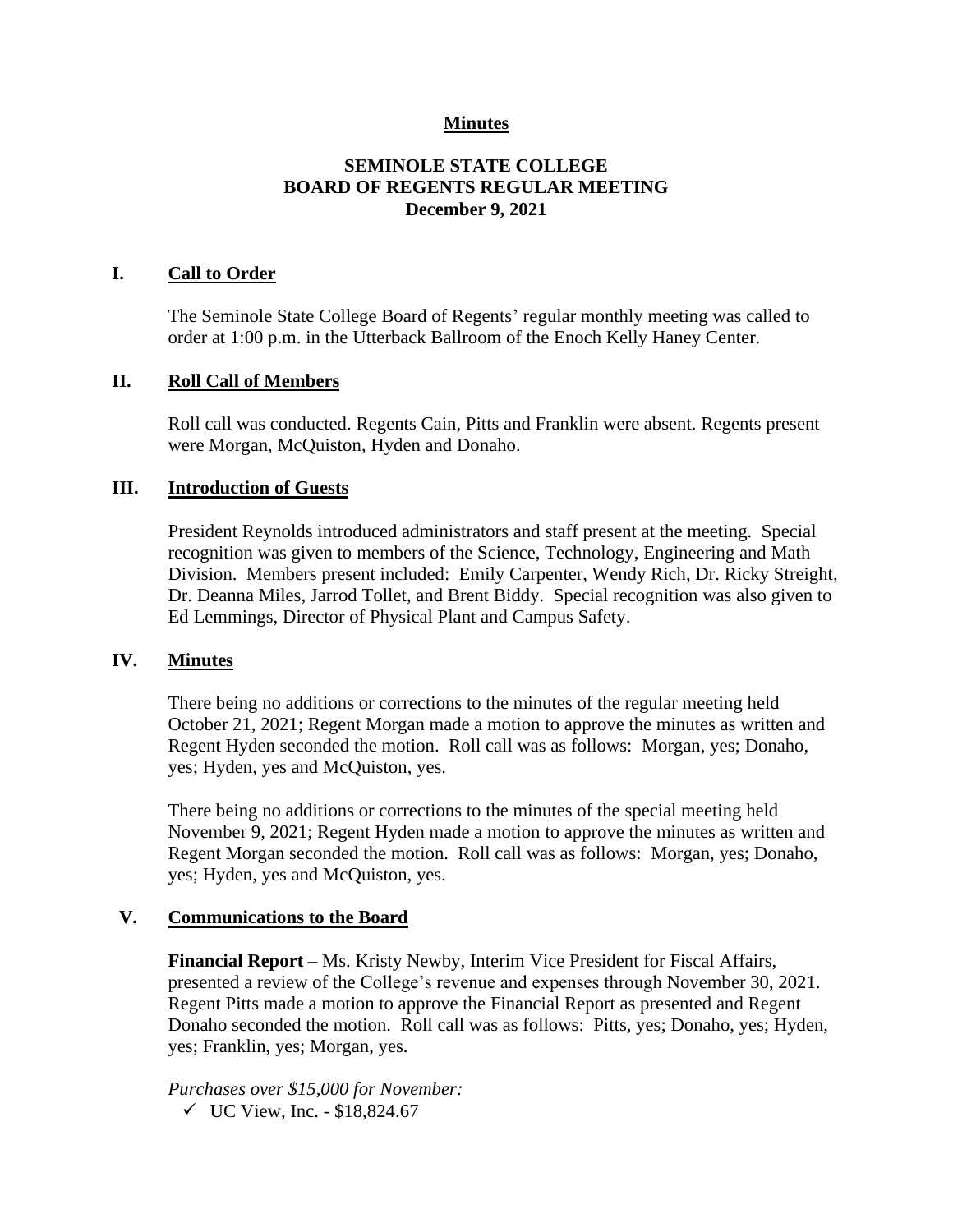## **Minutes**

## **SEMINOLE STATE COLLEGE BOARD OF REGENTS REGULAR MEETING December 9, 2021**

#### **I. Call to Order**

The Seminole State College Board of Regents' regular monthly meeting was called to order at 1:00 p.m. in the Utterback Ballroom of the Enoch Kelly Haney Center.

#### **II. Roll Call of Members**

Roll call was conducted. Regents Cain, Pitts and Franklin were absent. Regents present were Morgan, McQuiston, Hyden and Donaho.

#### **III. Introduction of Guests**

President Reynolds introduced administrators and staff present at the meeting. Special recognition was given to members of the Science, Technology, Engineering and Math Division. Members present included: Emily Carpenter, Wendy Rich, Dr. Ricky Streight, Dr. Deanna Miles, Jarrod Tollet, and Brent Biddy. Special recognition was also given to Ed Lemmings, Director of Physical Plant and Campus Safety.

#### **IV. Minutes**

There being no additions or corrections to the minutes of the regular meeting held October 21, 2021; Regent Morgan made a motion to approve the minutes as written and Regent Hyden seconded the motion. Roll call was as follows: Morgan, yes; Donaho, yes; Hyden, yes and McQuiston, yes.

There being no additions or corrections to the minutes of the special meeting held November 9, 2021; Regent Hyden made a motion to approve the minutes as written and Regent Morgan seconded the motion. Roll call was as follows: Morgan, yes; Donaho, yes; Hyden, yes and McQuiston, yes.

#### **V. Communications to the Board**

**Financial Report** – Ms. Kristy Newby, Interim Vice President for Fiscal Affairs, presented a review of the College's revenue and expenses through November 30, 2021. Regent Pitts made a motion to approve the Financial Report as presented and Regent Donaho seconded the motion. Roll call was as follows: Pitts, yes; Donaho, yes; Hyden, yes; Franklin, yes; Morgan, yes.

*Purchases over \$15,000 for November:* ✓ UC View, Inc. - \$18,824.67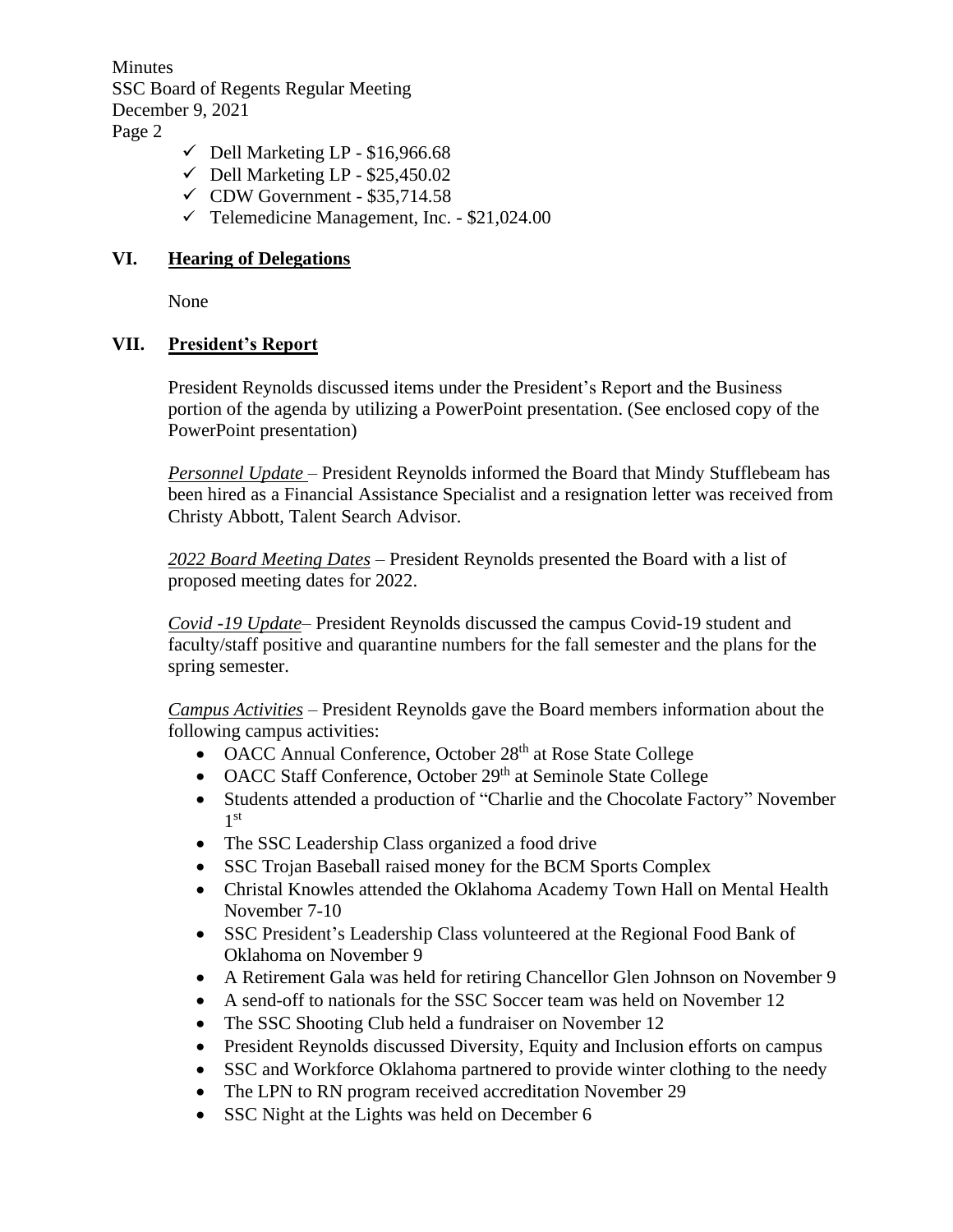Minutes SSC Board of Regents Regular Meeting December 9, 2021 Page 2

- $\checkmark$  Dell Marketing LP \$16,966.68
- $\checkmark$  Dell Marketing LP \$25,450.02
- $\checkmark$  CDW Government \$35,714.58
- $\checkmark$  Telemedicine Management, Inc. \$21,024.00

#### **VI. Hearing of Delegations**

None

## **VII. President's Report**

President Reynolds discussed items under the President's Report and the Business portion of the agenda by utilizing a PowerPoint presentation. (See enclosed copy of the PowerPoint presentation)

*Personnel Update* – President Reynolds informed the Board that Mindy Stufflebeam has been hired as a Financial Assistance Specialist and a resignation letter was received from Christy Abbott, Talent Search Advisor.

*2022 Board Meeting Dates* – President Reynolds presented the Board with a list of proposed meeting dates for 2022.

*Covid -19 Update*– President Reynolds discussed the campus Covid-19 student and faculty/staff positive and quarantine numbers for the fall semester and the plans for the spring semester.

*Campus Activities* – President Reynolds gave the Board members information about the following campus activities:

- OACC Annual Conference, October 28<sup>th</sup> at Rose State College
- OACC Staff Conference, October 29<sup>th</sup> at Seminole State College
- Students attended a production of "Charlie and the Chocolate Factory" November 1 st
- The SSC Leadership Class organized a food drive
- SSC Trojan Baseball raised money for the BCM Sports Complex
- Christal Knowles attended the Oklahoma Academy Town Hall on Mental Health November 7-10
- SSC President's Leadership Class volunteered at the Regional Food Bank of Oklahoma on November 9
- A Retirement Gala was held for retiring Chancellor Glen Johnson on November 9
- A send-off to nationals for the SSC Soccer team was held on November 12
- The SSC Shooting Club held a fundraiser on November 12
- President Reynolds discussed Diversity, Equity and Inclusion efforts on campus
- SSC and Workforce Oklahoma partnered to provide winter clothing to the needy
- The LPN to RN program received accreditation November 29
- SSC Night at the Lights was held on December 6